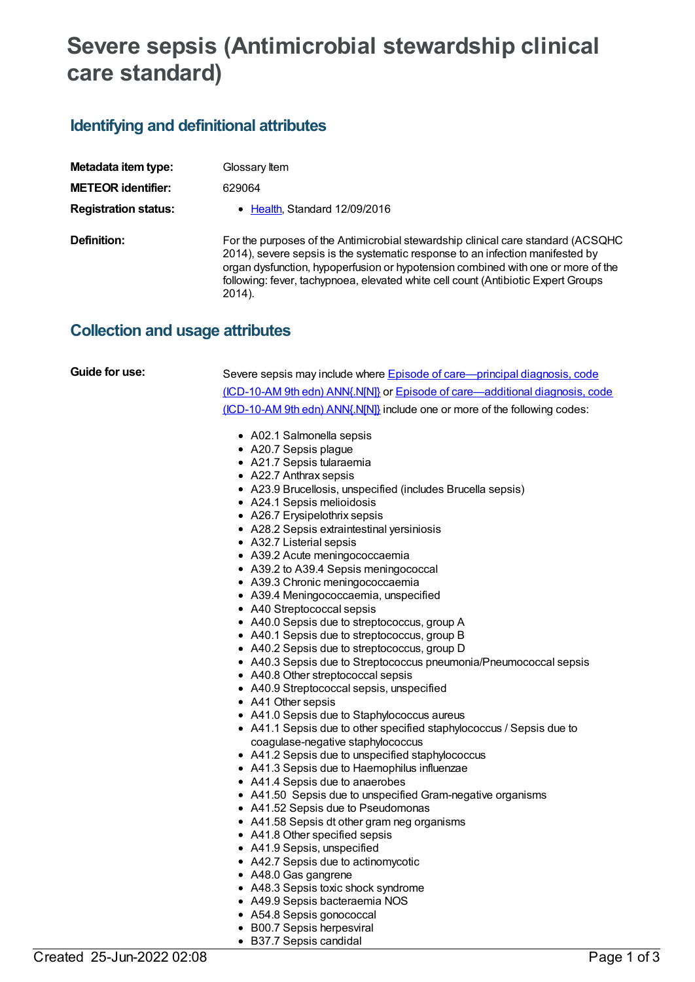# **Severe sepsis (Antimicrobial stewardship clinical care standard)**

### **Identifying and definitional attributes**

| Metadata item type:         | Glossary ltem                                                                                                                                                                                                                                                                                                                                        |
|-----------------------------|------------------------------------------------------------------------------------------------------------------------------------------------------------------------------------------------------------------------------------------------------------------------------------------------------------------------------------------------------|
| <b>METEOR identifier:</b>   | 629064                                                                                                                                                                                                                                                                                                                                               |
| <b>Registration status:</b> | • Health, Standard 12/09/2016                                                                                                                                                                                                                                                                                                                        |
| Definition:                 | For the purposes of the Antimicrobial stewardship clinical care standard (ACSQHC<br>2014), severe sepsis is the systematic response to an infection manifested by<br>organ dysfunction, hypoperfusion or hypotension combined with one or more of the<br>following: fever, tachypnoea, elevated white cell count (Antibiotic Expert Groups<br>2014). |

## **Collection and usage attributes**

| Guide for use: | Severe sepsis may include where Episode of care—principal diagnosis, code    |
|----------------|------------------------------------------------------------------------------|
|                |                                                                              |
|                | (ICD-10-AM 9th edn) ANN{.N[N]} or Episode of care—additional diagnosis, code |
|                | (ICD-10-AM 9th edn) ANN{.N[N]} include one or more of the following codes:   |
|                | • A02.1 Salmonella sepsis                                                    |
|                | • A20.7 Sepsis plague                                                        |
|                | • A21.7 Sepsis tularaemia                                                    |
|                | • A22.7 Anthrax sepsis                                                       |
|                | • A23.9 Brucellosis, unspecified (includes Brucella sepsis)                  |
|                | • A24.1 Sepsis melioidosis                                                   |
|                | • A26.7 Erysipelothrix sepsis                                                |
|                | • A28.2 Sepsis extraintestinal yersiniosis                                   |
|                | • A32.7 Listerial sepsis                                                     |
|                | • A39.2 Acute meningococcaemia                                               |
|                | • A39.2 to A39.4 Sepsis meningococcal                                        |
|                | • A39.3 Chronic meningococcaemia                                             |
|                | • A39.4 Meningococcaemia, unspecified                                        |
|                | • A40 Streptococcal sepsis                                                   |
|                | • A40.0 Sepsis due to streptococcus, group A                                 |
|                | • A40.1 Sepsis due to streptococcus, group B                                 |
|                | • A40.2 Sepsis due to streptococcus, group D                                 |
|                | • A40.3 Sepsis due to Streptococcus pneumonia/Pneumococcal sepsis            |
|                | • A40.8 Other streptococcal sepsis                                           |
|                | • A40.9 Streptococcal sepsis, unspecified                                    |
|                | • A41 Other sepsis                                                           |
|                | • A41.0 Sepsis due to Staphylococcus aureus                                  |
|                | • A41.1 Sepsis due to other specified staphylococcus / Sepsis due to         |
|                | coagulase-negative staphylococcus                                            |
|                | • A41.2 Sepsis due to unspecified staphylococcus                             |
|                | • A41.3 Sepsis due to Haemophilus influenzae                                 |
|                | • A41.4 Sepsis due to anaerobes                                              |
|                | • A41.50 Sepsis due to unspecified Gram-negative organisms                   |
|                | • A41.52 Sepsis due to Pseudomonas                                           |
|                | • A41.58 Sepsis dt other gram neg organisms                                  |
|                | • A41.8 Other specified sepsis                                               |
|                | • A41.9 Sepsis, unspecified                                                  |
|                | • A42.7 Sepsis due to actinomycotic                                          |
|                | • A48.0 Gas gangrene                                                         |
|                | • A48.3 Sepsis toxic shock syndrome                                          |
|                | • A49.9 Sepsis bacteraemia NOS                                               |
|                | • A54.8 Sepsis gonococcal                                                    |

• B00.7 Sepsis herpesviral B37.7 Sepsis candidal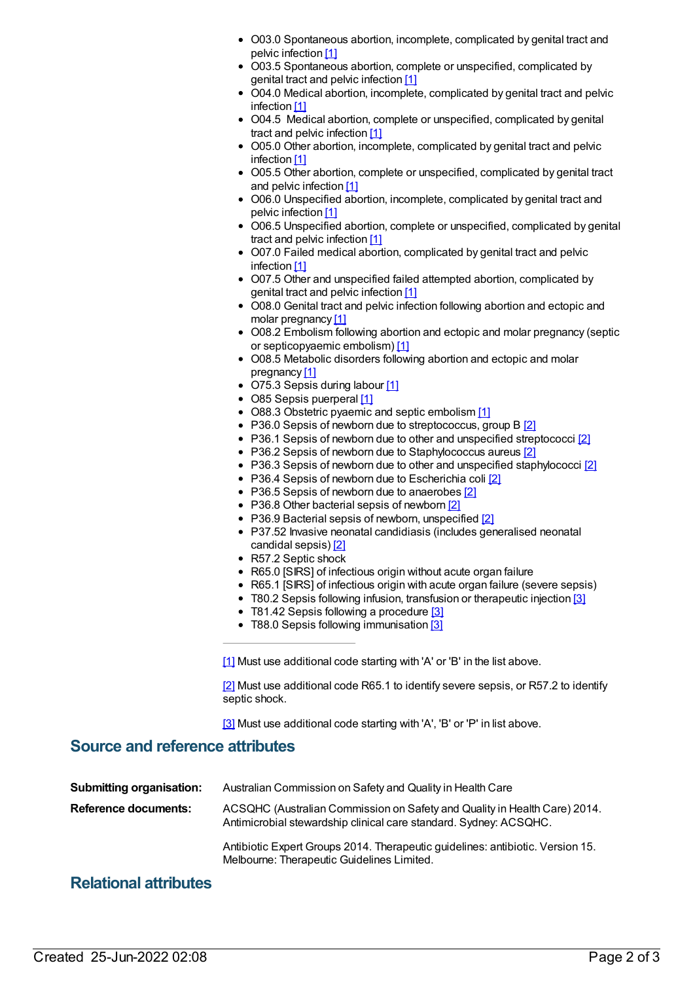- O03.0 Spontaneous abortion, incomplete, complicated by genital tract and pelvic infection [1]
- O03.5 Spontaneous abortion, complete or unspecified, complicated by genital tract and pelvic infection [1]
- O04.0 Medical abortion, incomplete, complicated by genital tract and pelvic infection [1]
- O04.5 Medical abortion, complete or unspecified, complicated by genital tract and pelvic infection [1]
- O05.0 Other abortion, incomplete, complicated by genital tract and pelvic infection [1]
- O05.5 Other abortion, complete or unspecified, complicated by genital tract and pelvic infection [1]
- O06.0 Unspecified abortion, incomplete, complicated by genital tract and pelvic infection [1]
- O06.5 Unspecified abortion, complete or unspecified, complicated by genital tract and pelvic infection [1]
- O07.0 Failed medical abortion, complicated by genital tract and pelvic infection [1]
- O07.5 Other and unspecified failed attempted abortion, complicated by genital tract and pelvic infection [1]
- O08.0 Genital tract and pelvic infection following abortion and ectopic and molar pregnancy [1]
- O08.2 Embolism following abortion and ectopic and molar pregnancy (septic or septicopyaemic embolism) [1]
- O08.5 Metabolic disorders following abortion and ectopic and molar pregnancy [1]
- O75.3 Sepsis during labour [1]
- O85 Sepsis puerperal [1]
- O88.3 Obstetric pyaemic and septic embolism [1]
- P36.0 Sepsis of newborn due to streptococcus, group B [2]
- P36.1 Sepsis of newborn due to other and unspecified streptococci [2]
- P36.2 Sepsis of newborn due to Staphylococcus aureus [2]
- P36.3 Sepsis of newborn due to other and unspecified staphylococci [2]
- P36.4 Sepsis of newborn due to Escherichia coli [2]
- P36.5 Sepsis of newborn due to anaerobes [2]
- P36.8 Other bacterial sepsis of newborn [2]
- $\bullet$  P36.9 Bacterial sepsis of newborn, unspecified  $[2]$
- P37.52 Invasive neonatal candidiasis (includes generalised neonatal candidal sepsis) [2]
- R57.2 Septic shock
- R65.0 [SIRS] of infectious origin without acute organ failure
- R65.1 [SIRS] of infectious origin with acute organ failure (severe sepsis)
- T80.2 Sepsis following infusion, transfusion or therapeutic injection [3]
- T81.42 Sepsis following a procedure [3]
- T88.0 Sepsis following immunisation [3]

[1] Must use additional code starting with 'A' or 'B' in the list above.

[2] Must use additional code R65.1 to identify severe sepsis, or R57.2 to identify septic shock.

[3] Must use additional code starting with 'A', 'B' or 'P' in list above.

#### **Source and reference attributes**

| <b>Submitting organisation:</b> | Australian Commission on Safety and Quality in Health Care                                                                                     |
|---------------------------------|------------------------------------------------------------------------------------------------------------------------------------------------|
| Reference documents:            | ACSQHC (Australian Commission on Safety and Quality in Health Care) 2014.<br>Antimicrobial stewardship clinical care standard. Sydney: ACSQHC. |
|                                 | Antibiotic Expert Groups 2014. Therapeutic guidelines: antibiotic. Version 15.<br>Melbourne: Therapeutic Guidelines Limited.                   |

### **Relational attributes**